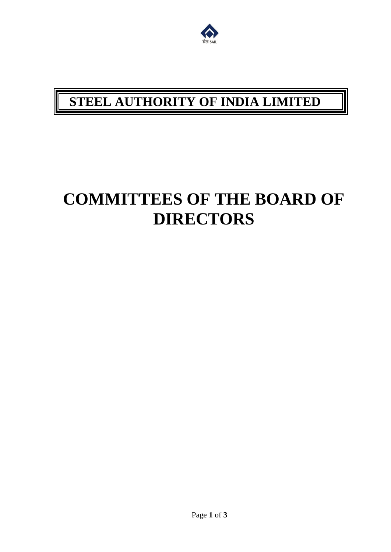

## **STEEL AUTHORITY OF INDIA LIMITED**

## **COMMITTEES OF THE BOARD OF DIRECTORS**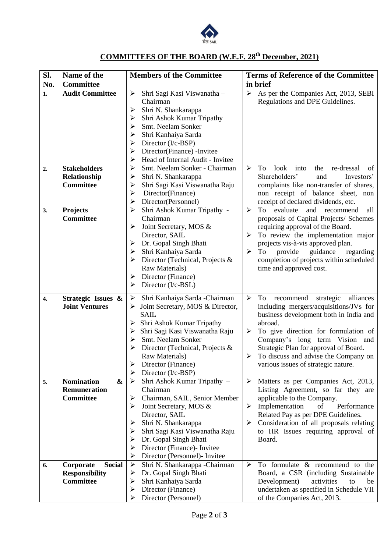

## **COMMITTEES OF THE BOARD (W.E.F. 28th December, 2021)**

| SI.              | Name of the                            | <b>Members of the Committee</b>                           | <b>Terms of Reference of the Committee</b>                                         |
|------------------|----------------------------------------|-----------------------------------------------------------|------------------------------------------------------------------------------------|
| No.              | <b>Committee</b>                       |                                                           | in brief                                                                           |
| 1.               | <b>Audit Committee</b>                 | Shri Sagi Kasi Viswanatha -<br>➤                          | As per the Companies Act, 2013, SEBI<br>$\blacktriangleright$                      |
|                  |                                        | Chairman                                                  | Regulations and DPE Guidelines.                                                    |
|                  |                                        | Shri N. Shankarappa<br>➤                                  |                                                                                    |
|                  |                                        | Shri Ashok Kumar Tripathy                                 |                                                                                    |
|                  |                                        | Smt. Neelam Sonker                                        |                                                                                    |
|                  |                                        | Shri Kanhaiya Sarda<br>➤                                  |                                                                                    |
|                  |                                        | Director (I/c-BSP)<br>➤                                   |                                                                                    |
|                  |                                        | Director(Finance) -Invitee<br>➤                           |                                                                                    |
|                  |                                        | Head of Internal Audit - Invitee<br>➤                     |                                                                                    |
| 2.               | <b>Stakeholders</b>                    | Smt. Neelam Sonker - Chairman<br>$\blacktriangleright$    | $\blacktriangleright$<br>look<br>into<br>To<br>the<br>re-dressal<br>of             |
|                  | Relationship                           | Shri N. Shankarappa<br>➤                                  | Shareholders'<br>and<br>Investors'                                                 |
|                  | Committee                              | Shri Sagi Kasi Viswanatha Raju<br>➤                       | complaints like non-transfer of shares,                                            |
|                  |                                        | Director(Finance)<br>➤                                    | non receipt of balance sheet, non                                                  |
|                  |                                        | Director(Personnel)<br>≻                                  | receipt of declared dividends, etc.                                                |
| 3.               | Projects                               | Shri Ashok Kumar Tripathy -<br>$\blacktriangleright$      | all<br>$\blacktriangleright$<br>To<br>evaluate<br>and<br>recommend                 |
|                  | <b>Committee</b>                       | Chairman                                                  | proposals of Capital Projects/ Schemes                                             |
|                  |                                        | Joint Secretary, MOS &<br>➤                               | requiring approval of the Board.                                                   |
|                  |                                        | Director, SAIL                                            | To review the implementation major<br>≻                                            |
|                  |                                        | Dr. Gopal Singh Bhati<br>➤                                | projects vis-à-vis approved plan.                                                  |
|                  |                                        | Shri Kanhaiya Sarda<br>➤                                  | guidance<br>$\blacktriangleright$<br>To<br>provide<br>regarding                    |
|                  |                                        | Director (Technical, Projects &                           | completion of projects within scheduled                                            |
|                  |                                        | Raw Materials)                                            | time and approved cost.                                                            |
|                  |                                        | Director (Finance)<br>➤                                   |                                                                                    |
|                  |                                        | Director (I/c-BSL)<br>➤                                   |                                                                                    |
| $\overline{4}$ . | Strategic Issues &                     | Shri Kanhaiya Sarda -Chairman<br>$\blacktriangleright$    | $\blacktriangleright$<br>alliances<br>To<br>recommend<br>strategic                 |
|                  | <b>Joint Ventures</b>                  | Joint Secretary, MOS & Director,<br>➤                     | including mergers/acquisitions/JVs for                                             |
|                  |                                        | <b>SAIL</b>                                               | business development both in India and                                             |
|                  |                                        | Shri Ashok Kumar Tripathy                                 | abroad.                                                                            |
|                  |                                        | Shri Sagi Kasi Viswanatha Raju                            | To give direction for formulation of<br>➤                                          |
|                  |                                        | Smt. Neelam Sonker<br>➤                                   | Company's long term Vision and                                                     |
|                  |                                        | Director (Technical, Projects &                           | Strategic Plan for approval of Board.                                              |
|                  |                                        | Raw Materials)                                            | To discuss and advise the Company on<br>➤                                          |
|                  |                                        | Director (Finance)                                        | various issues of strategic nature.                                                |
|                  |                                        | Director (I/c-BSP)<br>➤                                   |                                                                                    |
| 5.               | <b>Nomination</b><br>$\boldsymbol{\&}$ | $\blacktriangleright$<br>Shri Ashok Kumar Tripathy -      | Matters as per Companies Act, 2013,<br>➤                                           |
|                  | <b>Remuneration</b>                    | Chairman                                                  | Listing Agreement, so far they are                                                 |
|                  | <b>Committee</b>                       | Chairman, SAIL, Senior Member<br>➤                        | applicable to the Company.                                                         |
|                  |                                        | Joint Secretary, MOS &                                    | Implementation<br>of<br>Performance<br>➤                                           |
|                  |                                        | Director, SAIL                                            | Related Pay as per DPE Guidelines.                                                 |
|                  |                                        | Shri N. Shankarappa<br>Shri Sagi Kasi Viswanatha Raju     | Consideration of all proposals relating<br>➤<br>to HR Issues requiring approval of |
|                  |                                        |                                                           |                                                                                    |
|                  |                                        | Dr. Gopal Singh Bhati<br>Director (Finance)- Invitee<br>⋗ | Board.                                                                             |
|                  |                                        | Director (Personnel)- Invitee<br>➤                        |                                                                                    |
| 6.               | <b>Social</b><br>Corporate             | $\blacktriangleright$<br>Shri N. Shankarappa -Chairman    | To formulate & recommend to the<br>≻                                               |
|                  | <b>Responsibility</b>                  | Dr. Gopal Singh Bhati<br>➤                                | Board, a CSR (including Sustainable                                                |
|                  | <b>Committee</b>                       | Shri Kanhaiya Sarda<br>➤                                  | Development)<br>activities<br>be<br>to                                             |
|                  |                                        | Director (Finance)<br>➤                                   | undertaken as specified in Schedule VII                                            |
|                  |                                        | Director (Personnel)                                      | of the Companies Act, 2013.                                                        |